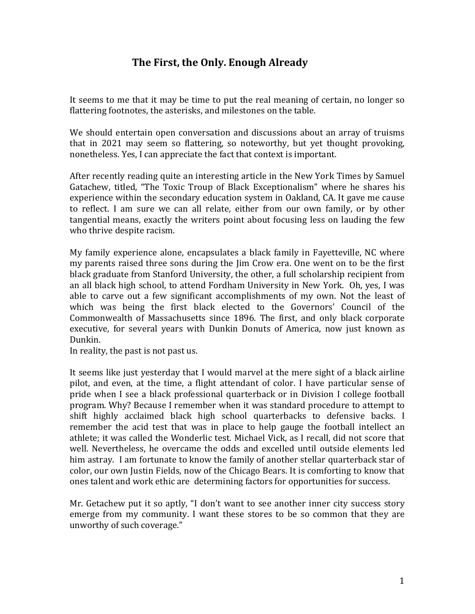## **The First, the Only. Enough Already**

It seems to me that it may be time to put the real meaning of certain, no longer so flattering footnotes, the asterisks, and milestones on the table.

We should entertain open conversation and discussions about an array of truisms that in 2021 may seem so flattering, so noteworthy, but yet thought provoking, nonetheless. Yes, I can appreciate the fact that context is important.

After recently reading quite an interesting article in the New York Times by Samuel Gatachew, titled, "The Toxic Troup of Black Exceptionalism" where he shares his experience within the secondary education system in Oakland, CA. It gave me cause to reflect. I am sure we can all relate, either from our own family, or by other tangential means, exactly the writers point about focusing less on lauding the few who thrive despite racism.

My family experience alone, encapsulates a black family in Fayetteville, NC where my parents raised three sons during the Jim Crow era. One went on to be the first black graduate from Stanford University, the other, a full scholarship recipient from an all black high school, to attend Fordham University in New York. Oh, yes, I was able to carve out a few significant accomplishments of my own. Not the least of which was being the first black elected to the Governors' Council of the Commonwealth of Massachusetts since 1896. The first, and only black corporate executive, for several years with Dunkin Donuts of America, now just known as Dunkin.

In reality, the past is not past us.

It seems like just yesterday that I would marvel at the mere sight of a black airline pilot, and even, at the time, a flight attendant of color. I have particular sense of pride when I see a black professional quarterback or in Division I college football program. Why? Because I remember when it was standard procedure to attempt to shift highly acclaimed black high school quarterbacks to defensive backs. I remember the acid test that was in place to help gauge the football intellect an athlete; it was called the Wonderlic test. Michael Vick, as I recall, did not score that well. Nevertheless, he overcame the odds and excelled until outside elements led him astray. I am fortunate to know the family of another stellar quarterback star of color, our own Justin Fields, now of the Chicago Bears. It is comforting to know that ones talent and work ethic are determining factors for opportunities for success.

Mr. Getachew put it so aptly, "I don't want to see another inner city success story emerge from my community. I want these stores to be so common that they are unworthy of such coverage."